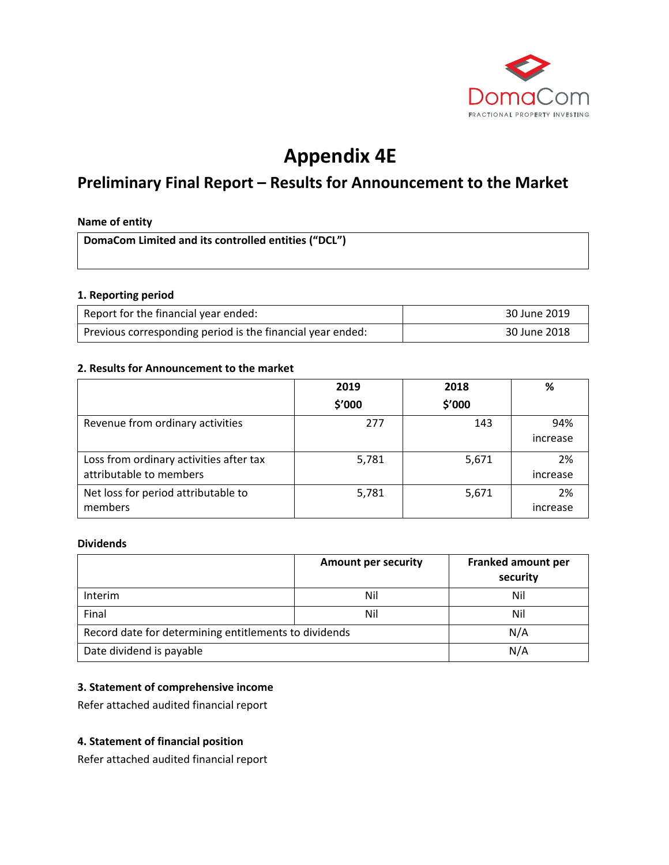

# **Appendix 4E**

# **Preliminary Final Report – Results for Announcement to the Market**

#### **Name of entity**

**DomaCom Limited and its controlled entities ("DCL")**

#### **1. Reporting period**

| Report for the financial year ended:                       | 30 June 2019 |
|------------------------------------------------------------|--------------|
| Previous corresponding period is the financial year ended: | 30 June 2018 |

#### **2. Results for Announcement to the market**

|                                                                    | 2019   | 2018   | %               |
|--------------------------------------------------------------------|--------|--------|-----------------|
|                                                                    | \$'000 | \$'000 |                 |
| Revenue from ordinary activities                                   | 277    | 143    | 94%<br>increase |
| Loss from ordinary activities after tax<br>attributable to members | 5,781  | 5,671  | 2%<br>increase  |
| Net loss for period attributable to<br>members                     | 5,781  | 5,671  | 2%<br>increase  |

#### **Dividends**

|                                                       | <b>Amount per security</b> | Franked amount per<br>security |
|-------------------------------------------------------|----------------------------|--------------------------------|
| Interim                                               | Nil                        | Nil                            |
| Final                                                 | Nil                        | Nil                            |
| Record date for determining entitlements to dividends |                            | N/A                            |
| Date dividend is payable                              |                            | N/A                            |

# **3. Statement of comprehensive income**

Refer attached audited financial report

#### **4. Statement of financial position**

Refer attached audited financial report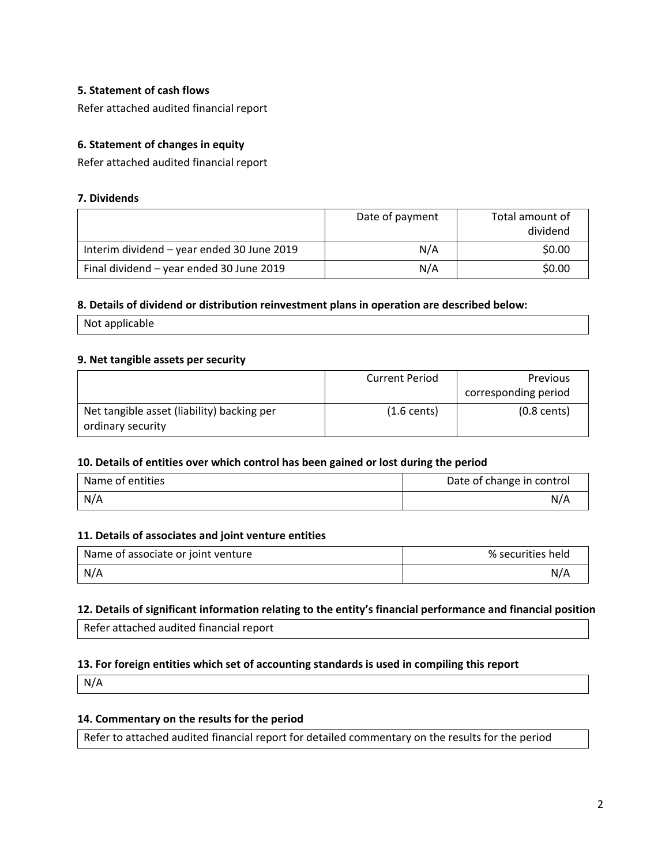## **5. Statement of cash flows**

Refer attached audited financial report

# **6. Statement of changes in equity**

Refer attached audited financial report

#### **7. Dividends**

|                                            | Date of payment | Total amount of<br>dividend |
|--------------------------------------------|-----------------|-----------------------------|
| Interim dividend - year ended 30 June 2019 | N/A             | \$0.00                      |
| Final dividend - year ended 30 June 2019   | N/A             | \$0.00                      |

#### **8. Details of dividend or distribution reinvestment plans in operation are described below:**

Not applicable

#### **9. Net tangible assets per security**

|                                            | <b>Current Period</b> | <b>Previous</b>       |
|--------------------------------------------|-----------------------|-----------------------|
|                                            |                       | corresponding period  |
| Net tangible asset (liability) backing per | $(1.6 \text{ cents})$ | $(0.8 \text{ cents})$ |
| ordinary security                          |                       |                       |

#### **10. Details of entities over which control has been gained or lost during the period**

| Name of entities | Date of change in control |
|------------------|---------------------------|
| N/A              | N/A                       |

#### **11. Details of associates and joint venture entities**

| Name of associate or joint venture | % securities held |
|------------------------------------|-------------------|
| N/A                                | N/A               |

#### **12. Details of significant information relating to the entity's financial performance and financial position**

Refer attached audited financial report

#### **13. For foreign entities which set of accounting standards is used in compiling this report**

N/A

# **14. Commentary on the results for the period**

Refer to attached audited financial report for detailed commentary on the results for the period